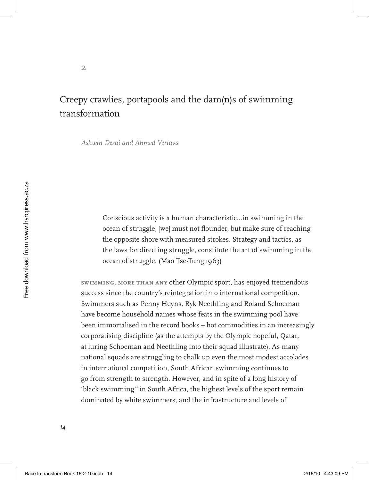# Creepy crawlies, portapools and the dam(n)s of swimming transformation

*Ashwin Desai and Ahmed Veriava*

**2**

Conscious activity is a human characteristic...in swimming in the ocean of struggle, [we] must not flounder, but make sure of reaching the opposite shore with measured strokes. Strategy and tactics, as the laws for directing struggle, constitute the art of swimming in the ocean of struggle. (Mao Tse-Tung 1963)

**Swimming, more than any** other Olympic sport, has enjoyed tremendous success since the country's reintegration into international competition. Swimmers such as Penny Heyns, Ryk Neethling and Roland Schoeman have become household names whose feats in the swimming pool have been immortalised in the record books – hot commodities in an increasingly corporatising discipline (as the attempts by the Olympic hopeful, Qatar, at luring Schoeman and Neethling into their squad illustrate). As many national squads are struggling to chalk up even the most modest accolades in international competition, South African swimming continues to go from strength to strength. However, and in spite of a long history of 'black swimming' in South Africa, the highest levels of the sport remain dominated by white swimmers, and the infrastructure and levels of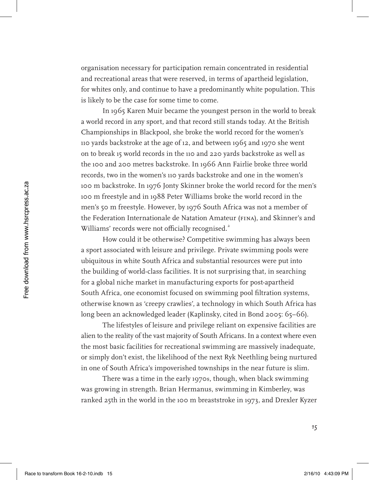organisation necessary for participation remain concentrated in residential and recreational areas that were reserved, in terms of apartheid legislation, for whites only, and continue to have a predominantly white population. This is likely to be the case for some time to come.

In 1965 Karen Muir became the youngest person in the world to break a world record in any sport, and that record still stands today. At the British Championships in Blackpool, she broke the world record for the women's 110 yards backstroke at the age of 12, and between 1965 and 1970 she went on to break 15 world records in the 110 and 220 yards backstroke as well as the 100 and 200 metres backstroke. In 1966 Ann Fairlie broke three world records, two in the women's 110 yards backstroke and one in the women's 100 m backstroke. In 1976 Jonty Skinner broke the world record for the men's 100 m freestyle and in 1988 Peter Williams broke the world record in the men's 50 m freestyle. However, by 1976 South Africa was not a member of the Federation Internationale de Natation Amateur (FINA), and Skinner's and Williams' records were not officially recognised.<sup>2</sup>

How could it be otherwise? Competitive swimming has always been a sport associated with leisure and privilege. Private swimming pools were ubiquitous in white South Africa and substantial resources were put into the building of world-class facilities. It is not surprising that, in searching for a global niche market in manufacturing exports for post-apartheid South Africa, one economist focused on swimming pool filtration systems, otherwise known as 'creepy crawlies', a technology in which South Africa has long been an acknowledged leader (Kaplinsky, cited in Bond 2005: 65–66).

The lifestyles of leisure and privilege reliant on expensive facilities are alien to the reality of the vast majority of South Africans. In a context where even the most basic facilities for recreational swimming are massively inadequate, or simply don't exist, the likelihood of the next Ryk Neethling being nurtured in one of South Africa's impoverished townships in the near future is slim.

There was a time in the early 1970s, though, when black swimming was growing in strength. Brian Hermanus, swimming in Kimberley, was ranked 25th in the world in the 100 m breaststroke in 1973, and Drexler Kyzer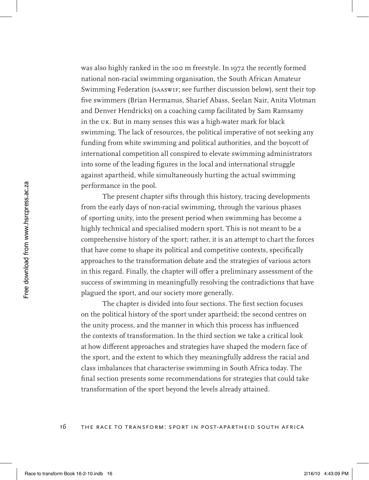was also highly ranked in the 100 m freestyle. In 1972 the recently formed national non-racial swimming organisation, the South African Amateur Swimming Federation (SAASwiF; see further discussion below), sent their top five swimmers (Brian Hermanus, Sharief Abass, Seelan Nair, Anita Vlotman and Denver Hendricks) on a coaching camp facilitated by Sam Ramsamy in the UK. But in many senses this was a high-water mark for black swimming. The lack of resources, the political imperative of not seeking any funding from white swimming and political authorities, and the boycott of international competition all conspired to elevate swimming administrators into some of the leading figures in the local and international struggle against apartheid, while simultaneously hurting the actual swimming performance in the pool.

The present chapter sifts through this history, tracing developments from the early days of non-racial swimming, through the various phases of sporting unity, into the present period when swimming has become a highly technical and specialised modern sport. This is not meant to be a comprehensive history of the sport; rather, it is an attempt to chart the forces that have come to shape its political and competitive contexts, specifically approaches to the transformation debate and the strategies of various actors in this regard. Finally, the chapter will offer a preliminary assessment of the success of swimming in meaningfully resolving the contradictions that have plagued the sport, and our society more generally.

The chapter is divided into four sections. The first section focuses on the political history of the sport under apartheid; the second centres on the unity process, and the manner in which this process has influenced the contexts of transformation. In the third section we take a critical look at how different approaches and strategies have shaped the modern face of the sport, and the extent to which they meaningfully address the racial and class imbalances that characterise swimming in South Africa today. The final section presents some recommendations for strategies that could take transformation of the sport beyond the levels already attained.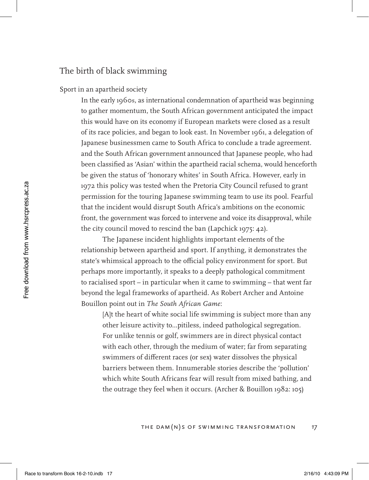# The birth of black swimming

Sport in an apartheid society

In the early 1960s, as international condemnation of apartheid was beginning to gather momentum, the South African government anticipated the impact this would have on its economy if European markets were closed as a result of its race policies, and began to look east. In November 1961, a delegation of Japanese businessmen came to South Africa to conclude a trade agreement. and the South African government announced that Japanese people, who had been classified as 'Asian' within the apartheid racial schema, would henceforth be given the status of 'honorary whites' in South Africa. However, early in 1972 this policy was tested when the Pretoria City Council refused to grant permission for the touring Japanese swimming team to use its pool. Fearful that the incident would disrupt South Africa's ambitions on the economic front, the government was forced to intervene and voice its disapproval, while the city council moved to rescind the ban (Lapchick 1975: 42).

The Japanese incident highlights important elements of the relationship between apartheid and sport. If anything, it demonstrates the state's whimsical approach to the official policy environment for sport. But perhaps more importantly, it speaks to a deeply pathological commitment to racialised sport – in particular when it came to swimming – that went far beyond the legal frameworks of apartheid. As Robert Archer and Antoine Bouillon point out in *The South African Game*:

[A]t the heart of white social life swimming is subject more than any other leisure activity to...pitiless, indeed pathological segregation. For unlike tennis or golf, swimmers are in direct physical contact with each other, through the medium of water; far from separating swimmers of different races (or sex) water dissolves the physical barriers between them. Innumerable stories describe the 'pollution' which white South Africans fear will result from mixed bathing, and the outrage they feel when it occurs. (Archer & Bouillon 1982: 105)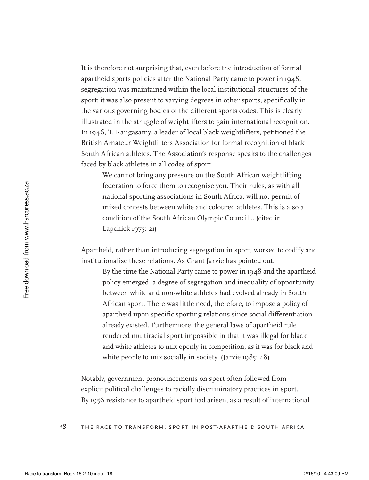It is therefore not surprising that, even before the introduction of formal apartheid sports policies after the National Party came to power in 1948, segregation was maintained within the local institutional structures of the sport; it was also present to varying degrees in other sports, specifically in the various governing bodies of the different sports codes. This is clearly illustrated in the struggle of weightlifters to gain international recognition. In 1946, T. Rangasamy, a leader of local black weightlifters, petitioned the British Amateur Weightlifters Association for formal recognition of black South African athletes. The Association's response speaks to the challenges faced by black athletes in all codes of sport:

We cannot bring any pressure on the South African weightlifting federation to force them to recognise you. Their rules, as with all national sporting associations in South Africa, will not permit of mixed contests between white and coloured athletes. This is also a condition of the South African Olympic Council… (cited in Lapchick 1975: 21)

Apartheid, rather than introducing segregation in sport, worked to codify and institutionalise these relations. As Grant Jarvie has pointed out:

By the time the National Party came to power in 1948 and the apartheid policy emerged, a degree of segregation and inequality of opportunity between white and non-white athletes had evolved already in South African sport. There was little need, therefore, to impose a policy of apartheid upon specific sporting relations since social differentiation already existed. Furthermore, the general laws of apartheid rule rendered multiracial sport impossible in that it was illegal for black and white athletes to mix openly in competition, as it was for black and white people to mix socially in society. (Jarvie 1985: 48)

Notably, government pronouncements on sport often followed from explicit political challenges to racially discriminatory practices in sport. By 1956 resistance to apartheid sport had arisen, as a result of international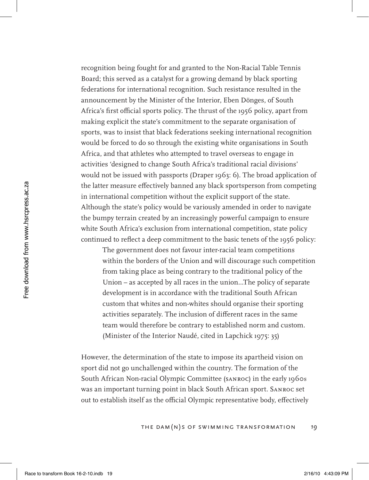recognition being fought for and granted to the Non-Racial Table Tennis Board; this served as a catalyst for a growing demand by black sporting federations for international recognition. Such resistance resulted in the announcement by the Minister of the Interior, Eben Dönges, of South Africa's first official sports policy. The thrust of the 1956 policy, apart from making explicit the state's commitment to the separate organisation of sports, was to insist that black federations seeking international recognition would be forced to do so through the existing white organisations in South Africa, and that athletes who attempted to travel overseas to engage in activities 'designed to change South Africa's traditional racial divisions' would not be issued with passports (Draper 1963: 6). The broad application of the latter measure effectively banned any black sportsperson from competing in international competition without the explicit support of the state. Although the state's policy would be variously amended in order to navigate the bumpy terrain created by an increasingly powerful campaign to ensure white South Africa's exclusion from international competition, state policy continued to reflect a deep commitment to the basic tenets of the 1956 policy:

The government does not favour inter-racial team competitions within the borders of the Union and will discourage such competition from taking place as being contrary to the traditional policy of the Union – as accepted by all races in the union…The policy of separate development is in accordance with the traditional South African custom that whites and non-whites should organise their sporting activities separately. The inclusion of different races in the same team would therefore be contrary to established norm and custom. (Minister of the Interior Naudé, cited in Lapchick 1975: 35)

However, the determination of the state to impose its apartheid vision on sport did not go unchallenged within the country. The formation of the South African Non-racial Olympic Committee (SANROC) in the early 1960s was an important turning point in black South African sport. SANROC set out to establish itself as the official Olympic representative body, effectively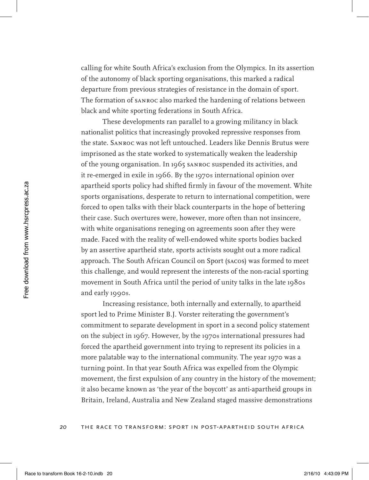calling for white South Africa's exclusion from the Olympics. In its assertion of the autonomy of black sporting organisations, this marked a radical departure from previous strategies of resistance in the domain of sport. The formation of SANROC also marked the hardening of relations between black and white sporting federations in South Africa.

These developments ran parallel to a growing militancy in black nationalist politics that increasingly provoked repressive responses from the state. SANROC was not left untouched. Leaders like Dennis Brutus were imprisoned as the state worked to systematically weaken the leadership of the young organisation. In 1965 SANROC suspended its activities, and it re-emerged in exile in 1966. By the 1970s international opinion over apartheid sports policy had shifted firmly in favour of the movement. White sports organisations, desperate to return to international competition, were forced to open talks with their black counterparts in the hope of bettering their case. Such overtures were, however, more often than not insincere, with white organisations reneging on agreements soon after they were made. Faced with the reality of well-endowed white sports bodies backed by an assertive apartheid state, sports activists sought out a more radical approach. The South African Council on Sport (SACOS) was formed to meet this challenge, and would represent the interests of the non-racial sporting movement in South Africa until the period of unity talks in the late 1980s and early 1990s.

Increasing resistance, both internally and externally, to apartheid sport led to Prime Minister B.J. Vorster reiterating the government's commitment to separate development in sport in a second policy statement on the subject in 1967. However, by the 1970s international pressures had forced the apartheid government into trying to represent its policies in a more palatable way to the international community. The year 1970 was a turning point. In that year South Africa was expelled from the Olympic movement, the first expulsion of any country in the history of the movement; it also became known as 'the year of the boycott' as anti-apartheid groups in Britain, Ireland, Australia and New Zealand staged massive demonstrations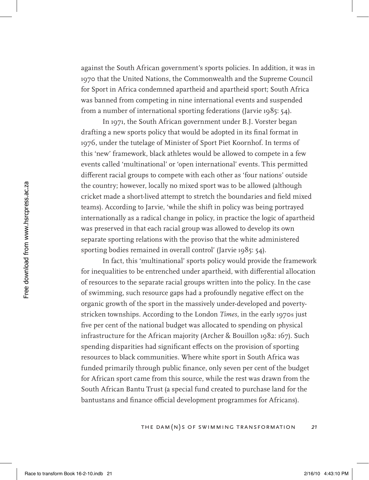against the South African government's sports policies. In addition, it was in 1970 that the United Nations, the Commonwealth and the Supreme Council for Sport in Africa condemned apartheid and apartheid sport; South Africa was banned from competing in nine international events and suspended from a number of international sporting federations (Jarvie 1985: 54).

In 1971, the South African government under B.J. Vorster began drafting a new sports policy that would be adopted in its final format in 1976, under the tutelage of Minister of Sport Piet Koornhof. In terms of this 'new' framework, black athletes would be allowed to compete in a few events called 'multinational' or 'open international' events. This permitted different racial groups to compete with each other as 'four nations' outside the country; however, locally no mixed sport was to be allowed (although cricket made a short-lived attempt to stretch the boundaries and field mixed teams). According to Jarvie, 'while the shift in policy was being portrayed internationally as a radical change in policy, in practice the logic of apartheid was preserved in that each racial group was allowed to develop its own separate sporting relations with the proviso that the white administered sporting bodies remained in overall control' (Jarvie 1985: 54).

In fact, this 'multinational' sports policy would provide the framework for inequalities to be entrenched under apartheid, with differential allocation of resources to the separate racial groups written into the policy. In the case of swimming, such resource gaps had a profoundly negative effect on the organic growth of the sport in the massively under-developed and povertystricken townships. According to the London *Times*, in the early 1970s just five per cent of the national budget was allocated to spending on physical infrastructure for the African majority (Archer & Bouillon 1982: 167). Such spending disparities had significant effects on the provision of sporting resources to black communities. Where white sport in South Africa was funded primarily through public finance, only seven per cent of the budget for African sport came from this source, while the rest was drawn from the South African Bantu Trust (a special fund created to purchase land for the bantustans and finance official development programmes for Africans).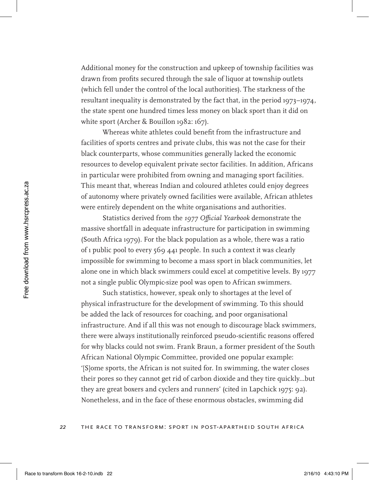Additional money for the construction and upkeep of township facilities was drawn from profits secured through the sale of liquor at township outlets (which fell under the control of the local authorities). The starkness of the resultant inequality is demonstrated by the fact that, in the period 1973–1974, the state spent one hundred times less money on black sport than it did on white sport (Archer & Bouillon 1982: 167).

Whereas white athletes could benefit from the infrastructure and facilities of sports centres and private clubs, this was not the case for their black counterparts, whose communities generally lacked the economic resources to develop equivalent private sector facilities. In addition, Africans in particular were prohibited from owning and managing sport facilities. This meant that, whereas Indian and coloured athletes could enjoy degrees of autonomy where privately owned facilities were available, African athletes were entirely dependent on the white organisations and authorities.

Statistics derived from the *1977 Official Yearbook* demonstrate the massive shortfall in adequate infrastructure for participation in swimming (South Africa 1979). For the black population as a whole, there was a ratio of 1 public pool to every 569 441 people. In such a context it was clearly impossible for swimming to become a mass sport in black communities, let alone one in which black swimmers could excel at competitive levels. By 1977 not a single public Olympic-size pool was open to African swimmers.

Such statistics, however, speak only to shortages at the level of physical infrastructure for the development of swimming. To this should be added the lack of resources for coaching, and poor organisational infrastructure. And if all this was not enough to discourage black swimmers, there were always institutionally reinforced pseudo-scientific reasons offered for why blacks could not swim. Frank Braun, a former president of the South African National Olympic Committee, provided one popular example: '[S]ome sports, the African is not suited for. In swimming, the water closes their pores so they cannot get rid of carbon dioxide and they tire quickly…but they are great boxers and cyclers and runners' (cited in Lapchick 1975: 92). Nonetheless, and in the face of these enormous obstacles, swimming did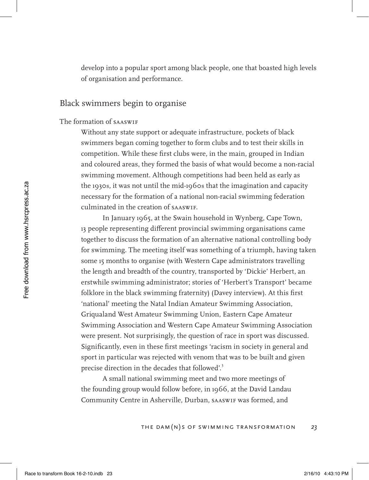develop into a popular sport among black people, one that boasted high levels of organisation and performance.

### Black swimmers begin to organise

#### The formation of SAASwiF

Without any state support or adequate infrastructure, pockets of black swimmers began coming together to form clubs and to test their skills in competition. While these first clubs were, in the main, grouped in Indian and coloured areas, they formed the basis of what would become a non-racial swimming movement. Although competitions had been held as early as the 1930s, it was not until the mid-1960s that the imagination and capacity necessary for the formation of a national non-racial swimming federation culminated in the creation of SAASwiF.

In January 1965, at the Swain household in Wynberg, Cape Town, 13 people representing different provincial swimming organisations came together to discuss the formation of an alternative national controlling body for swimming. The meeting itself was something of a triumph, having taken some 15 months to organise (with Western Cape administrators travelling the length and breadth of the country, transported by 'Dickie' Herbert, an erstwhile swimming administrator; stories of 'Herbert's Transport' became folklore in the black swimming fraternity) (Davey interview). At this first 'national' meeting the Natal Indian Amateur Swimming Association, Griqualand West Amateur Swimming Union, Eastern Cape Amateur Swimming Association and Western Cape Amateur Swimming Association were present. Not surprisingly, the question of race in sport was discussed. Significantly, even in these first meetings 'racism in society in general and sport in particular was rejected with venom that was to be built and given precise direction in the decades that followed'.<sup>3</sup>

A small national swimming meet and two more meetings of the founding group would follow before, in 1966, at the David Landau Community Centre in Asherville, Durban, SAASwiF was formed, and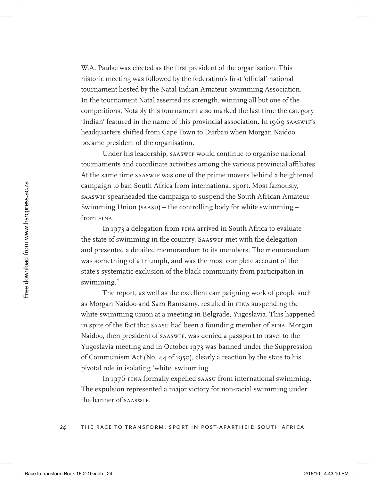W.A. Paulse was elected as the first president of the organisation. This historic meeting was followed by the federation's first 'official' national tournament hosted by the Natal Indian Amateur Swimming Association. In the tournament Natal asserted its strength, winning all but one of the competitions. Notably this tournament also marked the last time the category 'Indian' featured in the name of this provincial association. In 1969 SAASwiF's headquarters shifted from Cape Town to Durban when Morgan Naidoo became president of the organisation.

Under his leadership, SAASwiF would continue to organise national tournaments and coordinate activities among the various provincial affiliates. At the same time SAASwiF was one of the prime movers behind a heightened campaign to ban South Africa from international sport. Most famously, SAASwiF spearheaded the campaign to suspend the South African Amateur Swimming Union (SAASU) – the controlling body for white swimming – from FINA.

In 1973 a delegation from FINA arrived in South Africa to evaluate the state of swimming in the country. SAASwiF met with the delegation and presented a detailed memorandum to its members. The memorandum was something of a triumph, and was the most complete account of the state's systematic exclusion of the black community from participation in swimming.<sup>4</sup>

The report, as well as the excellent campaigning work of people such as Morgan Naidoo and Sam Ramsamy, resulted in FINA suspending the white swimming union at a meeting in Belgrade, Yugoslavia. This happened in spite of the fact that SAASU had been a founding member of FINA. Morgan Naidoo, then president of SAASwiF, was denied a passport to travel to the Yugoslavia meeting and in October 1973 was banned under the Suppression of Communism Act (No. 44 of 1950), clearly a reaction by the state to his pivotal role in isolating 'white' swimming.

In 1976 FINA formally expelled SAASU from international swimming. The expulsion represented a major victory for non-racial swimming under the banner of SAASwiF.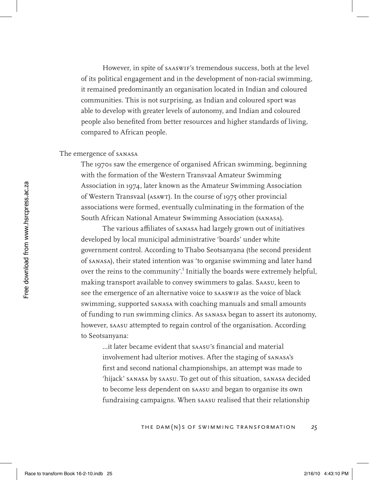However, in spite of SAASwiF's tremendous success, both at the level of its political engagement and in the development of non-racial swimming, it remained predominantly an organisation located in Indian and coloured communities. This is not surprising, as Indian and coloured sport was able to develop with greater levels of autonomy, and Indian and coloured people also benefited from better resources and higher standards of living, compared to African people.

#### The emergence of SANASA

The 1970s saw the emergence of organised African swimming, beginning with the formation of the Western Transvaal Amateur Swimming Association in 1974, later known as the Amateur Swimming Association of Western Transvaal (ASAWT). In the course of 1975 other provincial associations were formed, eventually culminating in the formation of the South African National Amateur Swimming Association (SANASA).

The various affiliates of SANASA had largely grown out of initiatives developed by local municipal administrative 'boards' under white government control. According to Thabo Seotsanyana (the second president of SANASA), their stated intention was 'to organise swimming and later hand over the reins to the community'.<sup>5</sup> Initially the boards were extremely helpful, making transport available to convey swimmers to galas. SAASU, keen to see the emergence of an alternative voice to SAASwiF as the voice of black swimming, supported SANASA with coaching manuals and small amounts of funding to run swimming clinics. As SANASA began to assert its autonomy, however, SAASU attempted to regain control of the organisation. According to Seotsanyana:

...it later became evident that SAASU's financial and material involvement had ulterior motives. After the staging of SANASA's first and second national championships, an attempt was made to 'hijack' SANASA by SAASU. To get out of this situation, SANASA decided to become less dependent on SAASU and began to organise its own fundraising campaigns. When SAASU realised that their relationship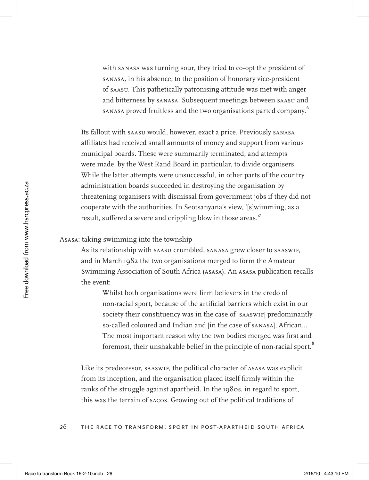with SANASA was turning sour, they tried to co-opt the president of SANASA, in his absence, to the position of honorary vice-president of SAASU. This pathetically patronising attitude was met with anger and bitterness by SANASA. Subsequent meetings between SAASU and SANASA proved fruitless and the two organisations parted company.<sup>6</sup>

Its fallout with SAASU would, however, exact a price. Previously SANASA affiliates had received small amounts of money and support from various municipal boards. These were summarily terminated, and attempts were made, by the West Rand Board in particular, to divide organisers. While the latter attempts were unsuccessful, in other parts of the country administration boards succeeded in destroying the organisation by threatening organisers with dismissal from government jobs if they did not cooperate with the authorities. In Seotsanyana's view, '[s]wimming, as a result, suffered a severe and crippling blow in those areas."

### ASASA: taking swimming into the township

As its relationship with SAASU crumbled, SANASA grew closer to SAASwiF, and in March 1982 the two organisations merged to form the Amateur Swimming Association of South Africa (ASASA). An ASASA publication recalls the event:

Whilst both organisations were firm believers in the credo of non-racial sport, because of the artificial barriers which exist in our society their constituency was in the case of [SAASWIF] predominantly so-called coloured and Indian and [in the case of SANASA], African… The most important reason why the two bodies merged was first and foremost, their unshakable belief in the principle of non-racial sport.<sup>8</sup>

Like its predecessor, SAASwiF, the political character of ASASA was explicit from its inception, and the organisation placed itself firmly within the ranks of the struggle against apartheid. In the 1980s, in regard to sport, this was the terrain of SACOS. Growing out of the political traditions of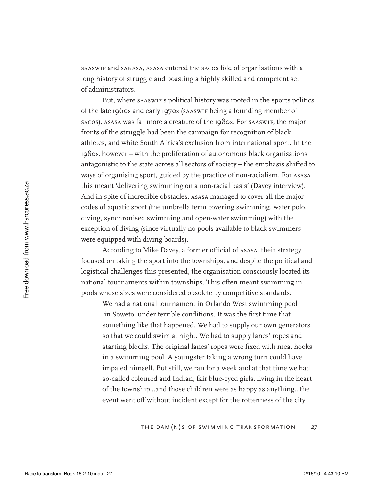SAASwiF and SANASA, ASASA entered the SACOS fold of organisations with a long history of struggle and boasting a highly skilled and competent set of administrators.

But, where SAASwiF's political history was rooted in the sports politics of the late 1960s and early 1970s (SAASwiF being a founding member of SACOS), ASASA was far more a creature of the 1980s. For SAASwiF, the major fronts of the struggle had been the campaign for recognition of black athletes, and white South Africa's exclusion from international sport. In the 1980s, however – with the proliferation of autonomous black organisations antagonistic to the state across all sectors of society – the emphasis shifted to ways of organising sport, guided by the practice of non-racialism. For ASASA this meant 'delivering swimming on a non-racial basis' (Davey interview). And in spite of incredible obstacles, ASASA managed to cover all the major codes of aquatic sport (the umbrella term covering swimming, water polo, diving, synchronised swimming and open-water swimming) with the exception of diving (since virtually no pools available to black swimmers were equipped with diving boards).

According to Mike Davey, a former official of ASASA, their strategy focused on taking the sport into the townships, and despite the political and logistical challenges this presented, the organisation consciously located its national tournaments within townships. This often meant swimming in pools whose sizes were considered obsolete by competitive standards:

We had a national tournament in Orlando West swimming pool [in Soweto] under terrible conditions. It was the first time that something like that happened. We had to supply our own generators so that we could swim at night. We had to supply lanes' ropes and starting blocks. The original lanes' ropes were fixed with meat hooks in a swimming pool. A youngster taking a wrong turn could have impaled himself. But still, we ran for a week and at that time we had so-called coloured and Indian, fair blue-eyed girls, living in the heart of the township…and those children were as happy as anything…the event went off without incident except for the rottenness of the city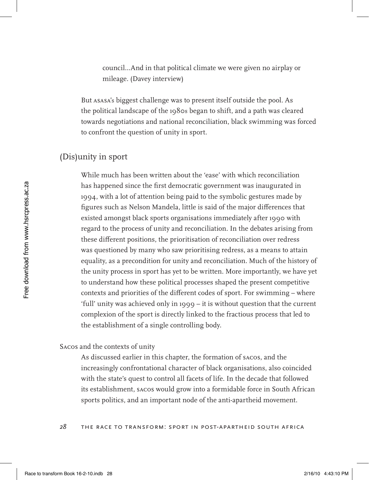council…And in that political climate we were given no airplay or mileage. (Davey interview)

But ASASA's biggest challenge was to present itself outside the pool. As the political landscape of the 1980s began to shift, and a path was cleared towards negotiations and national reconciliation, black swimming was forced to confront the question of unity in sport.

# (Dis)unity in sport

While much has been written about the 'ease' with which reconciliation has happened since the first democratic government was inaugurated in 1994, with a lot of attention being paid to the symbolic gestures made by figures such as Nelson Mandela, little is said of the major differences that existed amongst black sports organisations immediately after 1990 with regard to the process of unity and reconciliation. In the debates arising from these different positions, the prioritisation of reconciliation over redress was questioned by many who saw prioritising redress, as a means to attain equality, as a precondition for unity and reconciliation. Much of the history of the unity process in sport has yet to be written. More importantly, we have yet to understand how these political processes shaped the present competitive contexts and priorities of the different codes of sport. For swimming – where 'full' unity was achieved only in 1999 – it is without question that the current complexion of the sport is directly linked to the fractious process that led to the establishment of a single controlling body.

### SACOS and the contexts of unity

As discussed earlier in this chapter, the formation of SACOS, and the increasingly confrontational character of black organisations, also coincided with the state's quest to control all facets of life. In the decade that followed its establishment, SACOS would grow into a formidable force in South African sports politics, and an important node of the anti-apartheid movement.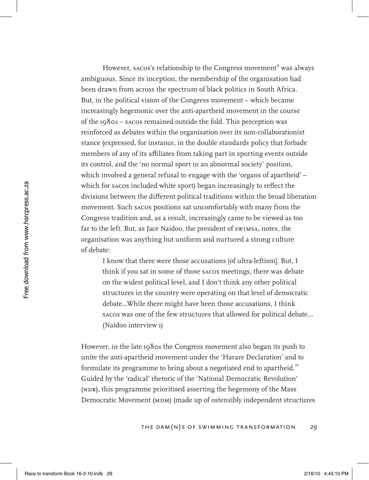However, sacos's relationship to the Congress movement<sup>9</sup> was always ambiguous. Since its inception, the membership of the organisation had been drawn from across the spectrum of black politics in South Africa. But, in the political vision of the Congress movement – which became increasingly hegemonic over the anti-apartheid movement in the course of the 1980s – SACOS remained outside the fold. This perception was reinforced as debates within the organisation over its non-collaborationist stance (expressed, for instance, in the double standards policy that forbade members of any of its affiliates from taking part in sporting events outside its control, and the 'no normal sport in an abnormal society' position, which involved a general refusal to engage with the 'organs of apartheid' – which for SACOS included white sport) began increasingly to reflect the divisions between the different political traditions within the broad liberation movement. Such SACOS positions sat uncomfortably with many from the Congress tradition and, as a result, increasingly came to be viewed as too far to the left. But, as Jace Naidoo, the president of swimsa, notes, the organisation was anything but uniform and nurtured a strong culture of debate:

I know that there were those accusations [of ultra-leftism]. But, I think if you sat in some of those SACOS meetings, there was debate on the widest political level, and I don't think any other political structures in the country were operating on that level of democratic debate…While there might have been those accusations, I think SACOS was one of the few structures that allowed for political debate… (Naidoo interview 1)

However, in the late 1980s the Congress movement also began its push to unite the anti-apartheid movement under the 'Harare Declaration' and to formulate its programme to bring about a negotiated end to apartheid.<sup>10</sup> Guided by the 'radical' rhetoric of the 'National Democratic Revolution' (NDR), this programme prioritised asserting the hegemony of the Mass Democratic Movement (MDM) (made up of ostensibly independent structures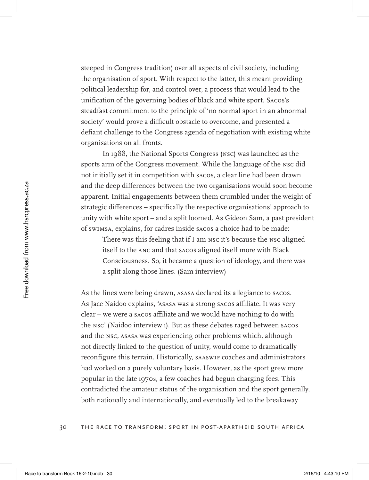steeped in Congress tradition) over all aspects of civil society, including the organisation of sport. With respect to the latter, this meant providing political leadership for, and control over, a process that would lead to the unification of the governing bodies of black and white sport. SACOS's steadfast commitment to the principle of 'no normal sport in an abnormal society' would prove a difficult obstacle to overcome, and presented a defiant challenge to the Congress agenda of negotiation with existing white organisations on all fronts.

In 1988, the National Sports Congress (NSC) was launched as the sports arm of the Congress movement. While the language of the NSC did not initially set it in competition with SACOS, a clear line had been drawn and the deep differences between the two organisations would soon become apparent. Initial engagements between them crumbled under the weight of strategic differences – specifically the respective organisations' approach to unity with white sport – and a split loomed. As Gideon Sam, a past president of SwimSA, explains, for cadres inside SACOS a choice had to be made:

There was this feeling that if I am NSC it's because the NSC aligned itself to the ANC and that SACOS aligned itself more with Black Consciousness. So, it became a question of ideology, and there was a split along those lines. (Sam interview)

As the lines were being drawn, ASASA declared its allegiance to SACOS. As Jace Naidoo explains, 'ASASA was a strong SACOS affiliate. It was very clear – we were a SACOS affiliate and we would have nothing to do with the NSC' (Naidoo interview 1). But as these debates raged between SACOS and the NSC, ASASA was experiencing other problems which, although not directly linked to the question of unity, would come to dramatically reconfigure this terrain. Historically, SAASWIF coaches and administrators had worked on a purely voluntary basis. However, as the sport grew more popular in the late 1970s, a few coaches had begun charging fees. This contradicted the amateur status of the organisation and the sport generally, both nationally and internationally, and eventually led to the breakaway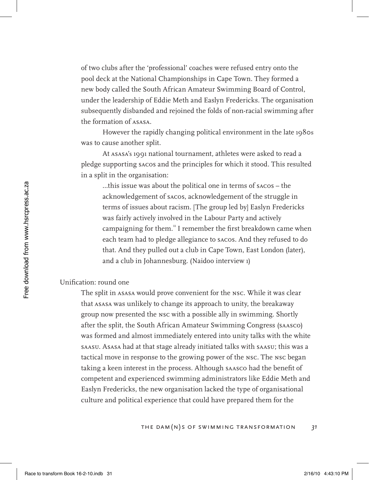of two clubs after the 'professional' coaches were refused entry onto the pool deck at the National Championships in Cape Town. They formed a new body called the South African Amateur Swimming Board of Control, under the leadership of Eddie Meth and Easlyn Fredericks. The organisation subsequently disbanded and rejoined the folds of non-racial swimming after the formation of ASASA.

However the rapidly changing political environment in the late 1980s was to cause another split.

At ASASA's 1991 national tournament, athletes were asked to read a pledge supporting SACOS and the principles for which it stood. This resulted in a split in the organisation:

…this issue was about the political one in terms of SACOS – the acknowledgement of SACOS, acknowledgement of the struggle in terms of issues about racism. [The group led by] Easlyn Fredericks was fairly actively involved in the Labour Party and actively campaigning for them.<sup>11</sup> I remember the first breakdown came when each team had to pledge allegiance to SACOS. And they refused to do that. And they pulled out a club in Cape Town, East London (later), and a club in Johannesburg. (Naidoo interview 1)

### Unification: round one

The split in ASASA would prove convenient for the NSC. While it was clear that ASASA was unlikely to change its approach to unity, the breakaway group now presented the NSC with a possible ally in swimming. Shortly after the split, the South African Amateur Swimming Congress (SAASCO) was formed and almost immediately entered into unity talks with the white SAASU. ASASA had at that stage already initiated talks with SAASU; this was a tactical move in response to the growing power of the NSC. The NSC began taking a keen interest in the process. Although SAASCO had the benefit of competent and experienced swimming administrators like Eddie Meth and Easlyn Fredericks, the new organisation lacked the type of organisational culture and political experience that could have prepared them for the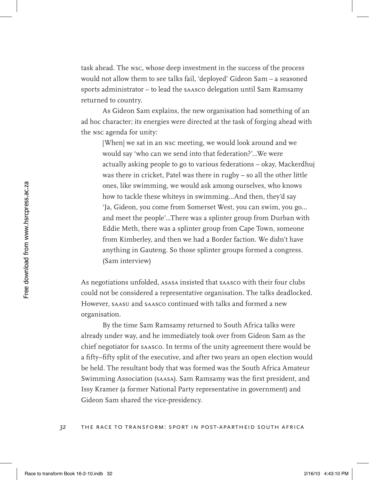task ahead. The NSC, whose deep investment in the success of the process would not allow them to see talks fail, 'deployed' Gideon Sam – a seasoned sports administrator – to lead the SAASCO delegation until Sam Ramsamy returned to country.

As Gideon Sam explains, the new organisation had something of an ad hoc character; its energies were directed at the task of forging ahead with the NSC agenda for unity:

[When] we sat in an NSC meeting, we would look around and we would say 'who can we send into that federation?'…We were actually asking people to go to various federations – okay, Mackerdhuj was there in cricket, Patel was there in rugby – so all the other little ones, like swimming, we would ask among ourselves, who knows how to tackle these whiteys in swimming…And then, they'd say 'Ja, Gideon, you come from Somerset West, you can swim, you go… and meet the people'…There was a splinter group from Durban with Eddie Meth, there was a splinter group from Cape Town, someone from Kimberley, and then we had a Border faction. We didn't have anything in Gauteng. So those splinter groups formed a congress. (Sam interview)

As negotiations unfolded, ASASA insisted that SAASCO with their four clubs could not be considered a representative organisation. The talks deadlocked. However, SAASU and SAASCO continued with talks and formed a new organisation.

By the time Sam Ramsamy returned to South Africa talks were already under way, and he immediately took over from Gideon Sam as the chief negotiator for SAASCO. In terms of the unity agreement there would be a fifty–fifty split of the executive, and after two years an open election would be held. The resultant body that was formed was the South Africa Amateur Swimming Association (SAASA). Sam Ramsamy was the first president, and Issy Kramer (a former National Party representative in government) and Gideon Sam shared the vice-presidency.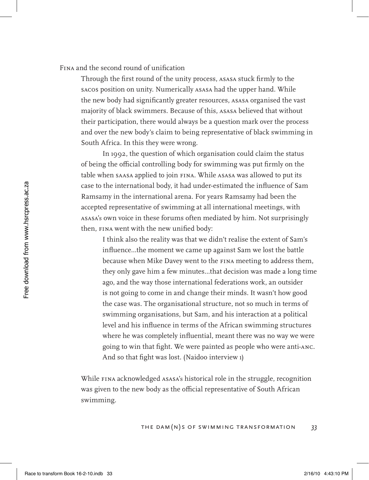### FINA and the second round of unification

Through the first round of the unity process, ASASA stuck firmly to the SACOS position on unity. Numerically ASASA had the upper hand. While the new body had significantly greater resources, ASASA organised the vast majority of black swimmers. Because of this, ASASA believed that without their participation, there would always be a question mark over the process and over the new body's claim to being representative of black swimming in South Africa. In this they were wrong.

In 1992, the question of which organisation could claim the status of being the official controlling body for swimming was put firmly on the table when SAASA applied to join FINA. While ASASA was allowed to put its case to the international body, it had under-estimated the influence of Sam Ramsamy in the international arena. For years Ramsamy had been the accepted representative of swimming at all international meetings, with ASASA's own voice in these forums often mediated by him. Not surprisingly then, FINA went with the new unified body:

I think also the reality was that we didn't realise the extent of Sam's influence…the moment we came up against Sam we lost the battle because when Mike Davey went to the FINA meeting to address them, they only gave him a few minutes…that decision was made a long time ago, and the way those international federations work, an outsider is not going to come in and change their minds. It wasn't how good the case was. The organisational structure, not so much in terms of swimming organisations, but Sam, and his interaction at a political level and his influence in terms of the African swimming structures where he was completely influential, meant there was no way we were going to win that fight. We were painted as people who were anti-ANC. And so that fight was lost. (Naidoo interview 1)

While FINA acknowledged ASASA's historical role in the struggle, recognition was given to the new body as the official representative of South African swimming.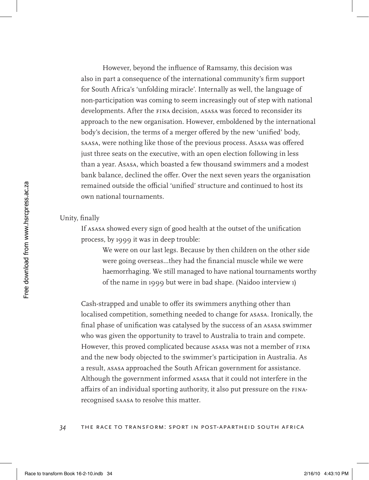However, beyond the influence of Ramsamy, this decision was also in part a consequence of the international community's firm support for South Africa's 'unfolding miracle'. Internally as well, the language of non-participation was coming to seem increasingly out of step with national developments. After the FINA decision, ASASA was forced to reconsider its approach to the new organisation. However, emboldened by the international body's decision, the terms of a merger offered by the new 'unified' body, SAASA, were nothing like those of the previous process. ASASA was offered just three seats on the executive, with an open election following in less than a year. ASASA, which boasted a few thousand swimmers and a modest bank balance, declined the offer. Over the next seven years the organisation remained outside the official 'unified' structure and continued to host its own national tournaments.

#### Unity, finally

If ASASA showed every sign of good health at the outset of the unification process, by 1999 it was in deep trouble:

We were on our last legs. Because by then children on the other side were going overseas…they had the financial muscle while we were haemorrhaging. We still managed to have national tournaments worthy of the name in 1999 but were in bad shape. (Naidoo interview 1)

Cash-strapped and unable to offer its swimmers anything other than localised competition, something needed to change for ASASA. Ironically, the final phase of unification was catalysed by the success of an ASASA swimmer who was given the opportunity to travel to Australia to train and compete. However, this proved complicated because ASASA was not a member of FINA and the new body objected to the swimmer's participation in Australia. As a result, ASASA approached the South African government for assistance. Although the government informed ASASA that it could not interfere in the affairs of an individual sporting authority, it also put pressure on the FINArecognised SAASA to resolve this matter.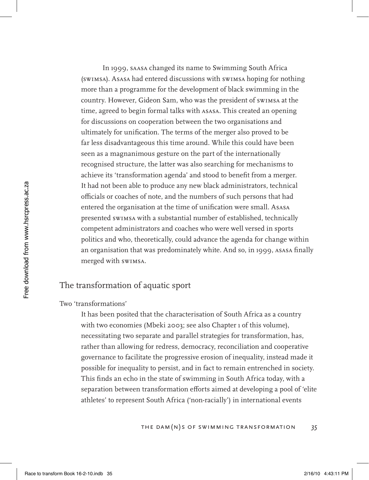In 1999, SAASA changed its name to Swimming South Africa (SwimSA). ASASA had entered discussions with SwimSA hoping for nothing more than a programme for the development of black swimming in the country. However, Gideon Sam, who was the president of SwimSA at the time, agreed to begin formal talks with ASASA. This created an opening for discussions on cooperation between the two organisations and ultimately for unification. The terms of the merger also proved to be far less disadvantageous this time around. While this could have been seen as a magnanimous gesture on the part of the internationally recognised structure, the latter was also searching for mechanisms to achieve its 'transformation agenda' and stood to benefit from a merger. It had not been able to produce any new black administrators, technical officials or coaches of note, and the numbers of such persons that had entered the organisation at the time of unification were small. ASASA presented SwimSA with a substantial number of established, technically competent administrators and coaches who were well versed in sports politics and who, theoretically, could advance the agenda for change within an organisation that was predominately white. And so, in 1999, ASASA finally merged with SwimSA.

# The transformation of aquatic sport

### Two 'transformations'

It has been posited that the characterisation of South Africa as a country with two economies (Mbeki 2003; see also Chapter 1 of this volume), necessitating two separate and parallel strategies for transformation, has, rather than allowing for redress, democracy, reconciliation and cooperative governance to facilitate the progressive erosion of inequality, instead made it possible for inequality to persist, and in fact to remain entrenched in society. This finds an echo in the state of swimming in South Africa today, with a separation between transformation efforts aimed at developing a pool of 'elite athletes' to represent South Africa ('non-racially') in international events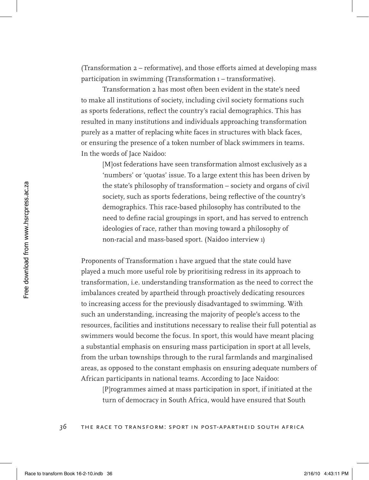(Transformation 2 – reformative), and those efforts aimed at developing mass participation in swimming (Transformation 1 – transformative).

Transformation 2 has most often been evident in the state's need to make all institutions of society, including civil society formations such as sports federations, reflect the country's racial demographics. This has resulted in many institutions and individuals approaching transformation purely as a matter of replacing white faces in structures with black faces, or ensuring the presence of a token number of black swimmers in teams. In the words of Jace Naidoo:

[M]ost federations have seen transformation almost exclusively as a 'numbers' or 'quotas' issue. To a large extent this has been driven by the state's philosophy of transformation – society and organs of civil society, such as sports federations, being reflective of the country's demographics. This race-based philosophy has contributed to the need to define racial groupings in sport, and has served to entrench ideologies of race, rather than moving toward a philosophy of non-racial and mass-based sport. (Naidoo interview 1)

Proponents of Transformation 1 have argued that the state could have played a much more useful role by prioritising redress in its approach to transformation, i.e. understanding transformation as the need to correct the imbalances created by apartheid through proactively dedicating resources to increasing access for the previously disadvantaged to swimming. With such an understanding, increasing the majority of people's access to the resources, facilities and institutions necessary to realise their full potential as swimmers would become the focus. In sport, this would have meant placing a substantial emphasis on ensuring mass participation in sport at all levels, from the urban townships through to the rural farmlands and marginalised areas, as opposed to the constant emphasis on ensuring adequate numbers of African participants in national teams. According to Jace Naidoo:

[P]rogrammes aimed at mass participation in sport, if initiated at the turn of democracy in South Africa, would have ensured that South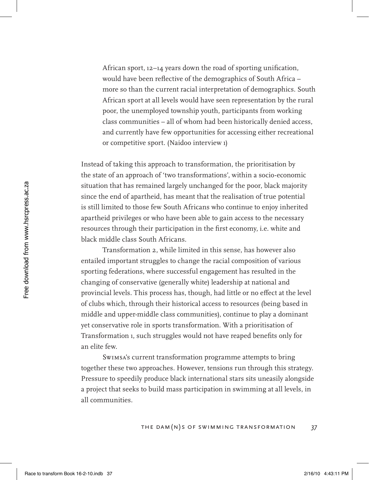African sport, 12–14 years down the road of sporting unification, would have been reflective of the demographics of South Africa – more so than the current racial interpretation of demographics. South African sport at all levels would have seen representation by the rural poor, the unemployed township youth, participants from working class communities – all of whom had been historically denied access, and currently have few opportunities for accessing either recreational or competitive sport. (Naidoo interview 1)

Instead of taking this approach to transformation, the prioritisation by the state of an approach of 'two transformations', within a socio-economic situation that has remained largely unchanged for the poor, black majority since the end of apartheid, has meant that the realisation of true potential is still limited to those few South Africans who continue to enjoy inherited apartheid privileges or who have been able to gain access to the necessary resources through their participation in the first economy, i.e. white and black middle class South Africans.

Transformation 2, while limited in this sense, has however also entailed important struggles to change the racial composition of various sporting federations, where successful engagement has resulted in the changing of conservative (generally white) leadership at national and provincial levels. This process has, though, had little or no effect at the level of clubs which, through their historical access to resources (being based in middle and upper-middle class communities), continue to play a dominant yet conservative role in sports transformation. With a prioritisation of Transformation 1, such struggles would not have reaped benefits only for an elite few.

SwimSA's current transformation programme attempts to bring together these two approaches. However, tensions run through this strategy. Pressure to speedily produce black international stars sits uneasily alongside a project that seeks to build mass participation in swimming at all levels, in all communities.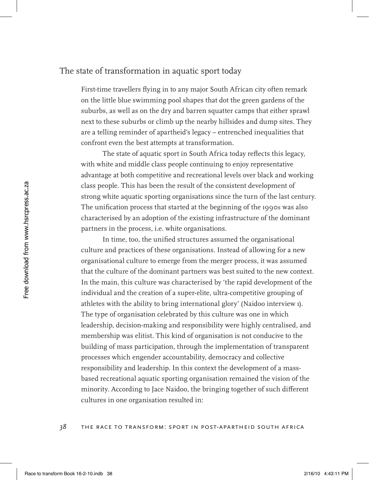### The state of transformation in aquatic sport today

First-time travellers flying in to any major South African city often remark on the little blue swimming pool shapes that dot the green gardens of the suburbs, as well as on the dry and barren squatter camps that either sprawl next to these suburbs or climb up the nearby hillsides and dump sites. They are a telling reminder of apartheid's legacy – entrenched inequalities that confront even the best attempts at transformation.

The state of aquatic sport in South Africa today reflects this legacy, with white and middle class people continuing to enjoy representative advantage at both competitive and recreational levels over black and working class people. This has been the result of the consistent development of strong white aquatic sporting organisations since the turn of the last century. The unification process that started at the beginning of the 1990s was also characterised by an adoption of the existing infrastructure of the dominant partners in the process, i.e. white organisations.

In time, too, the unified structures assumed the organisational culture and practices of these organisations. Instead of allowing for a new organisational culture to emerge from the merger process, it was assumed that the culture of the dominant partners was best suited to the new context. In the main, this culture was characterised by 'the rapid development of the individual and the creation of a super-elite, ultra-competitive grouping of athletes with the ability to bring international glory' (Naidoo interview 1). The type of organisation celebrated by this culture was one in which leadership, decision-making and responsibility were highly centralised, and membership was elitist. This kind of organisation is not conducive to the building of mass participation, through the implementation of transparent processes which engender accountability, democracy and collective responsibility and leadership. In this context the development of a massbased recreational aquatic sporting organisation remained the vision of the minority. According to Jace Naidoo, the bringing together of such different cultures in one organisation resulted in: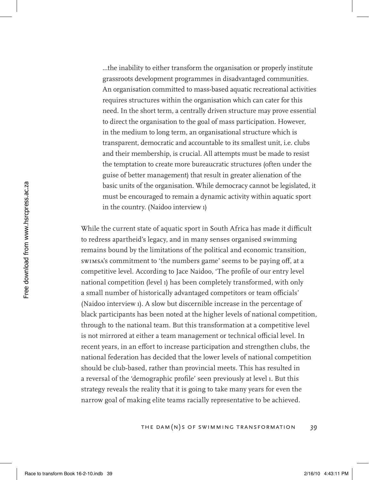...the inability to either transform the organisation or properly institute grassroots development programmes in disadvantaged communities. An organisation committed to mass-based aquatic recreational activities requires structures within the organisation which can cater for this need. In the short term, a centrally driven structure may prove essential to direct the organisation to the goal of mass participation. However, in the medium to long term, an organisational structure which is transparent, democratic and accountable to its smallest unit, i.e. clubs and their membership, is crucial. All attempts must be made to resist the temptation to create more bureaucratic structures (often under the guise of better management) that result in greater alienation of the basic units of the organisation. While democracy cannot be legislated, it must be encouraged to remain a dynamic activity within aquatic sport in the country. (Naidoo interview 1)

While the current state of aquatic sport in South Africa has made it difficult to redress apartheid's legacy, and in many senses organised swimming remains bound by the limitations of the political and economic transition, SwimSA's commitment to 'the numbers game' seems to be paying off, at a competitive level. According to Jace Naidoo, 'The profile of our entry level national competition (level 1) has been completely transformed, with only a small number of historically advantaged competitors or team officials' (Naidoo interview 1). A slow but discernible increase in the percentage of black participants has been noted at the higher levels of national competition, through to the national team. But this transformation at a competitive level is not mirrored at either a team management or technical official level. In recent years, in an effort to increase participation and strengthen clubs, the national federation has decided that the lower levels of national competition should be club-based, rather than provincial meets. This has resulted in a reversal of the 'demographic profile' seen previously at level 1. But this strategy reveals the reality that it is going to take many years for even the narrow goal of making elite teams racially representative to be achieved.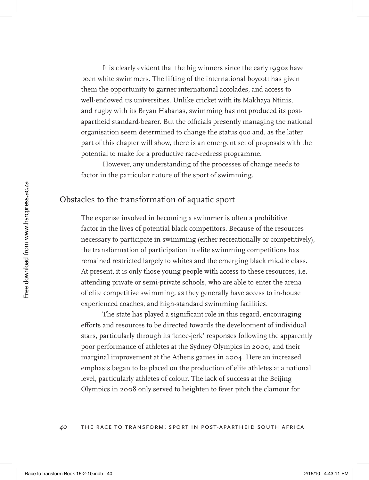It is clearly evident that the big winners since the early 1990s have been white swimmers. The lifting of the international boycott has given them the opportunity to garner international accolades, and access to well-endowed us universities. Unlike cricket with its Makhaya Ntinis, and rugby with its Bryan Habanas, swimming has not produced its postapartheid standard-bearer. But the officials presently managing the national organisation seem determined to change the status quo and, as the latter part of this chapter will show, there is an emergent set of proposals with the potential to make for a productive race-redress programme.

However, any understanding of the processes of change needs to factor in the particular nature of the sport of swimming.

# Obstacles to the transformation of aquatic sport

The expense involved in becoming a swimmer is often a prohibitive factor in the lives of potential black competitors. Because of the resources necessary to participate in swimming (either recreationally or competitively), the transformation of participation in elite swimming competitions has remained restricted largely to whites and the emerging black middle class. At present, it is only those young people with access to these resources, i.e. attending private or semi-private schools, who are able to enter the arena of elite competitive swimming, as they generally have access to in-house experienced coaches, and high-standard swimming facilities.

The state has played a significant role in this regard, encouraging efforts and resources to be directed towards the development of individual stars, particularly through its 'knee-jerk' responses following the apparently poor performance of athletes at the Sydney Olympics in 2000, and their marginal improvement at the Athens games in 2004. Here an increased emphasis began to be placed on the production of elite athletes at a national level, particularly athletes of colour. The lack of success at the Beijing Olympics in 2008 only served to heighten to fever pitch the clamour for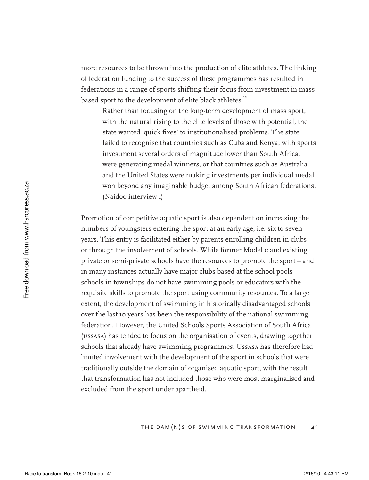more resources to be thrown into the production of elite athletes. The linking of federation funding to the success of these programmes has resulted in federations in a range of sports shifting their focus from investment in massbased sport to the development of elite black athletes.<sup>12</sup>

Rather than focusing on the long-term development of mass sport, with the natural rising to the elite levels of those with potential, the state wanted 'quick fixes' to institutionalised problems. The state failed to recognise that countries such as Cuba and Kenya, with sports investment several orders of magnitude lower than South Africa, were generating medal winners, or that countries such as Australia and the United States were making investments per individual medal won beyond any imaginable budget among South African federations. (Naidoo interview 1)

Promotion of competitive aquatic sport is also dependent on increasing the numbers of youngsters entering the sport at an early age, i.e. six to seven years. This entry is facilitated either by parents enrolling children in clubs or through the involvement of schools. While former Model C and existing private or semi-private schools have the resources to promote the sport – and in many instances actually have major clubs based at the school pools – schools in townships do not have swimming pools or educators with the requisite skills to promote the sport using community resources. To a large extent, the development of swimming in historically disadvantaged schools over the last 10 years has been the responsibility of the national swimming federation. However, the United Schools Sports Association of South Africa (USSASA) has tended to focus on the organisation of events, drawing together schools that already have swimming programmes. USSASA has therefore had limited involvement with the development of the sport in schools that were traditionally outside the domain of organised aquatic sport, with the result that transformation has not included those who were most marginalised and excluded from the sport under apartheid.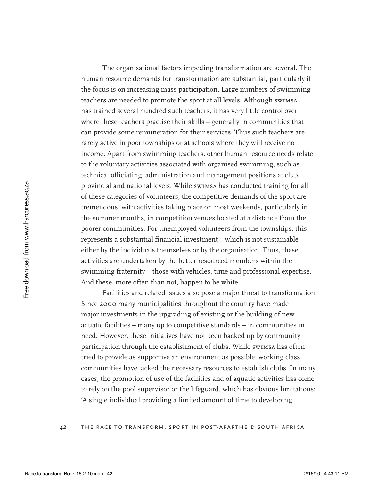The organisational factors impeding transformation are several. The human resource demands for transformation are substantial, particularly if the focus is on increasing mass participation. Large numbers of swimming teachers are needed to promote the sport at all levels. Although SwimSA has trained several hundred such teachers, it has very little control over where these teachers practise their skills – generally in communities that can provide some remuneration for their services. Thus such teachers are rarely active in poor townships or at schools where they will receive no income. Apart from swimming teachers, other human resource needs relate to the voluntary activities associated with organised swimming, such as technical officiating, administration and management positions at club, provincial and national levels. While SwimSA has conducted training for all of these categories of volunteers, the competitive demands of the sport are tremendous, with activities taking place on most weekends, particularly in the summer months, in competition venues located at a distance from the poorer communities. For unemployed volunteers from the townships, this represents a substantial financial investment – which is not sustainable either by the individuals themselves or by the organisation. Thus, these activities are undertaken by the better resourced members within the swimming fraternity – those with vehicles, time and professional expertise. And these, more often than not, happen to be white.

Facilities and related issues also pose a major threat to transformation. Since 2000 many municipalities throughout the country have made major investments in the upgrading of existing or the building of new aquatic facilities – many up to competitive standards – in communities in need. However, these initiatives have not been backed up by community participation through the establishment of clubs. While swimsa has often tried to provide as supportive an environment as possible, working class communities have lacked the necessary resources to establish clubs. In many cases, the promotion of use of the facilities and of aquatic activities has come to rely on the pool supervisor or the lifeguard, which has obvious limitations: 'A single individual providing a limited amount of time to developing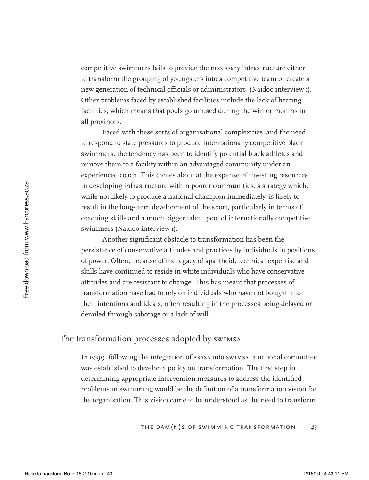competitive swimmers fails to provide the necessary infrastructure either to transform the grouping of youngsters into a competitive team or create a new generation of technical officials or administrators' (Naidoo interview 1). Other problems faced by established facilities include the lack of heating facilities, which means that pools go unused during the winter months in all provinces.

Faced with these sorts of organisational complexities, and the need to respond to state pressures to produce internationally competitive black swimmers, the tendency has been to identify potential black athletes and remove them to a facility within an advantaged community under an experienced coach. This comes about at the expense of investing resources in developing infrastructure within poorer communities, a strategy which, while not likely to produce a national champion immediately, is likely to result in the long-term development of the sport, particularly in terms of coaching skills and a much bigger talent pool of internationally competitive swimmers (Naidoo interview 1).

Another significant obstacle to transformation has been the persistence of conservative attitudes and practices by individuals in positions of power. Often, because of the legacy of apartheid, technical expertise and skills have continued to reside in white individuals who have conservative attitudes and are resistant to change. This has meant that processes of transformation have had to rely on individuals who have not bought into their intentions and ideals, often resulting in the processes being delayed or derailed through sabotage or a lack of will.

# The transformation processes adopted by SwimSA

In 1999, following the integration of  $\Delta$ SASA into SWIMSA, a national committee was established to develop a policy on transformation. The first step in determining appropriate intervention measures to address the identified problems in swimming would be the definition of a transformation vision for the organisation. This vision came to be understood as the need to transform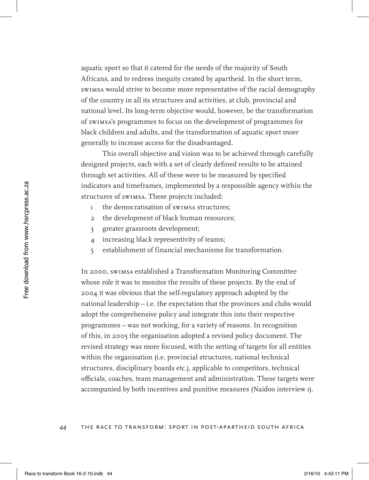aquatic sport so that it catered for the needs of the majority of South Africans, and to redress inequity created by apartheid. In the short term, SwimSA would strive to become more representative of the racial demography of the country in all its structures and activities, at club, provincial and national level. Its long-term objective would, however, be the transformation of SwimSA's programmes to focus on the development of programmes for black children and adults, and the transformation of aquatic sport more generally to increase access for the disadvantaged.

This overall objective and vision was to be achieved through carefully designed projects, each with a set of clearly defined results to be attained through set activities. All of these were to be measured by specified indicators and timeframes, implemented by a responsible agency within the structures of SwimSA. These projects included:

- 1 the democratisation of SwimSA structures;
- 2 the development of black human resources;
- 3 greater grassroots development;
- 4 increasing black representivity of teams;
- 5 establishment of financial mechanisms for transformation.

In 2000, SwimSA established a Transformation Monitoring Committee whose role it was to monitor the results of these projects. By the end of 2004 it was obvious that the self-regulatory approach adopted by the national leadership – i.e. the expectation that the provinces and clubs would adopt the comprehensive policy and integrate this into their respective programmes – was not working, for a variety of reasons. In recognition of this, in 2005 the organisation adopted a revised policy document. The revised strategy was more focused, with the setting of targets for all entities within the organisation (i.e. provincial structures, national technical structures, disciplinary boards etc.), applicable to competitors, technical officials, coaches, team management and administration. These targets were accompanied by both incentives and punitive measures (Naidoo interview 1).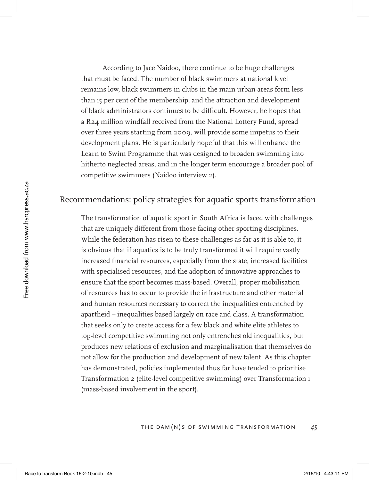According to Jace Naidoo, there continue to be huge challenges that must be faced. The number of black swimmers at national level remains low, black swimmers in clubs in the main urban areas form less than 15 per cent of the membership, and the attraction and development of black administrators continues to be difficult. However, he hopes that a R24 million windfall received from the National Lottery Fund, spread over three years starting from 2009, will provide some impetus to their development plans. He is particularly hopeful that this will enhance the Learn to Swim Programme that was designed to broaden swimming into hitherto neglected areas, and in the longer term encourage a broader pool of competitive swimmers (Naidoo interview 2).

# Recommendations: policy strategies for aquatic sports transformation

The transformation of aquatic sport in South Africa is faced with challenges that are uniquely different from those facing other sporting disciplines. While the federation has risen to these challenges as far as it is able to, it is obvious that if aquatics is to be truly transformed it will require vastly increased financial resources, especially from the state, increased facilities with specialised resources, and the adoption of innovative approaches to ensure that the sport becomes mass-based. Overall, proper mobilisation of resources has to occur to provide the infrastructure and other material and human resources necessary to correct the inequalities entrenched by apartheid – inequalities based largely on race and class. A transformation that seeks only to create access for a few black and white elite athletes to top-level competitive swimming not only entrenches old inequalities, but produces new relations of exclusion and marginalisation that themselves do not allow for the production and development of new talent. As this chapter has demonstrated, policies implemented thus far have tended to prioritise Transformation 2 (elite-level competitive swimming) over Transformation 1 (mass-based involvement in the sport).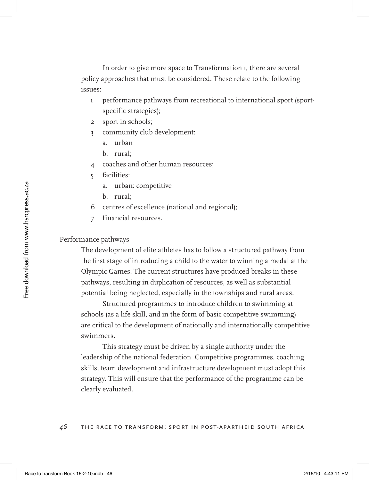In order to give more space to Transformation 1, there are several policy approaches that must be considered. These relate to the following issues:

- 1 performance pathways from recreational to international sport (sportspecific strategies);
- 2 sport in schools;
- 3 community club development:
	- a. urban
	- b. rural;
- 4 coaches and other human resources;
- 5 facilities:
	- a. urban: competitive
	- b. rural;
- 6 centres of excellence (national and regional);
- 7 financial resources.

### Performance pathways

The development of elite athletes has to follow a structured pathway from the first stage of introducing a child to the water to winning a medal at the Olympic Games. The current structures have produced breaks in these pathways, resulting in duplication of resources, as well as substantial potential being neglected, especially in the townships and rural areas.

Structured programmes to introduce children to swimming at schools (as a life skill, and in the form of basic competitive swimming) are critical to the development of nationally and internationally competitive swimmers.

This strategy must be driven by a single authority under the leadership of the national federation. Competitive programmes, coaching skills, team development and infrastructure development must adopt this strategy. This will ensure that the performance of the programme can be clearly evaluated.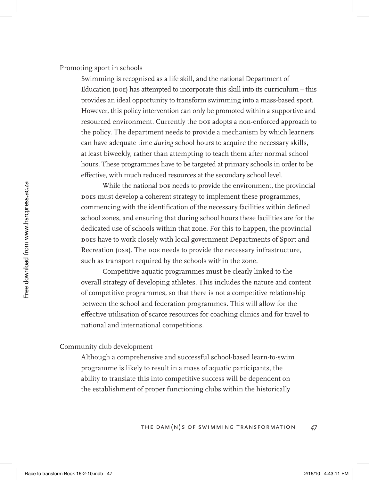Promoting sport in schools

Swimming is recognised as a life skill, and the national Department of Education ( $p$ OE) has attempted to incorporate this skill into its curriculum – this provides an ideal opportunity to transform swimming into a mass-based sport. However, this policy intervention can only be promoted within a supportive and resourced environment. Currently the DoE adopts a non-enforced approach to the policy. The department needs to provide a mechanism by which learners can have adequate time *during* school hours to acquire the necessary skills, at least biweekly, rather than attempting to teach them after normal school hours. These programmes have to be targeted at primary schools in order to be effective, with much reduced resources at the secondary school level.

While the national poe needs to provide the environment, the provincial DoEs must develop a coherent strategy to implement these programmes, commencing with the identification of the necessary facilities within defined school zones, and ensuring that during school hours these facilities are for the dedicated use of schools within that zone. For this to happen, the provincial DoEs have to work closely with local government Departments of Sport and Recreation (DSR). The DoE needs to provide the necessary infrastructure, such as transport required by the schools within the zone.

Competitive aquatic programmes must be clearly linked to the overall strategy of developing athletes. This includes the nature and content of competitive programmes, so that there is not a competitive relationship between the school and federation programmes. This will allow for the effective utilisation of scarce resources for coaching clinics and for travel to national and international competitions.

#### Community club development

Although a comprehensive and successful school-based learn-to-swim programme is likely to result in a mass of aquatic participants, the ability to translate this into competitive success will be dependent on the establishment of proper functioning clubs within the historically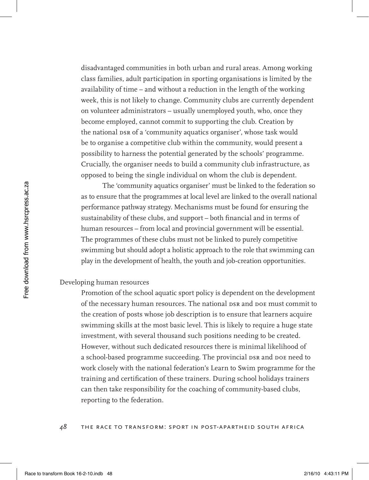disadvantaged communities in both urban and rural areas. Among working class families, adult participation in sporting organisations is limited by the availability of time – and without a reduction in the length of the working week, this is not likely to change. Community clubs are currently dependent on volunteer administrators – usually unemployed youth, who, once they become employed, cannot commit to supporting the club. Creation by the national DSR of a 'community aquatics organiser', whose task would be to organise a competitive club within the community, would present a possibility to harness the potential generated by the schools' programme. Crucially, the organiser needs to build a community club infrastructure, as opposed to being the single individual on whom the club is dependent.

The 'community aquatics organiser' must be linked to the federation so as to ensure that the programmes at local level are linked to the overall national performance pathway strategy. Mechanisms must be found for ensuring the sustainability of these clubs, and support – both financial and in terms of human resources – from local and provincial government will be essential. The programmes of these clubs must not be linked to purely competitive swimming but should adopt a holistic approach to the role that swimming can play in the development of health, the youth and job-creation opportunities.

#### Developing human resources

Promotion of the school aquatic sport policy is dependent on the development of the necessary human resources. The national DSR and DoE must commit to the creation of posts whose job description is to ensure that learners acquire swimming skills at the most basic level. This is likely to require a huge state investment, with several thousand such positions needing to be created. However, without such dedicated resources there is minimal likelihood of a school-based programme succeeding. The provincial DSR and DoE need to work closely with the national federation's Learn to Swim programme for the training and certification of these trainers. During school holidays trainers can then take responsibility for the coaching of community-based clubs, reporting to the federation.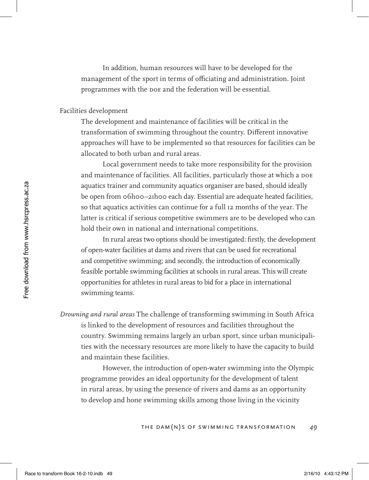In addition, human resources will have to be developed for the management of the sport in terms of officiating and administration. Joint programmes with the DoE and the federation will be essential.

#### Facilities development

The development and maintenance of facilities will be critical in the transformation of swimming throughout the country. Different innovative approaches will have to be implemented so that resources for facilities can be allocated to both urban and rural areas.

Local government needs to take more responsibility for the provision and maintenance of facilities. All facilities, particularly those at which a DOE aquatics trainer and community aquatics organiser are based, should ideally be open from 06h00–21h00 each day. Essential are adequate heated facilities, so that aquatics activities can continue for a full 12 months of the year. The latter is critical if serious competitive swimmers are to be developed who can hold their own in national and international competitions.

In rural areas two options should be investigated: firstly, the development of open-water facilities at dams and rivers that can be used for recreational and competitive swimming; and secondly, the introduction of economically feasible portable swimming facilities at schools in rural areas. This will create opportunities for athletes in rural areas to bid for a place in international swimming teams.

*Drowning and rural areas* The challenge of transforming swimming in South Africa is linked to the development of resources and facilities throughout the country. Swimming remains largely an urban sport, since urban municipalities with the necessary resources are more likely to have the capacity to build and maintain these facilities.

However, the introduction of open-water swimming into the Olympic programme provides an ideal opportunity for the development of talent in rural areas, by using the presence of rivers and dams as an opportunity to develop and hone swimming skills among those living in the vicinity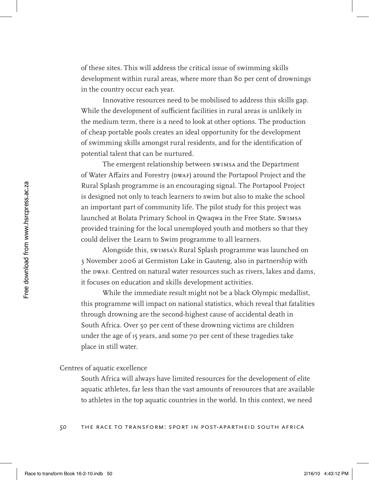of these sites. This will address the critical issue of swimming skills development within rural areas, where more than 80 per cent of drownings in the country occur each year.

Innovative resources need to be mobilised to address this skills gap. While the development of sufficient facilities in rural areas is unlikely in the medium term, there is a need to look at other options. The production of cheap portable pools creates an ideal opportunity for the development of swimming skills amongst rural residents, and for the identification of potential talent that can be nurtured.

The emergent relationship between swimsa and the Department of Water Affairs and Forestry (DWAF) around the Portapool Project and the Rural Splash programme is an encouraging signal. The Portapool Project is designed not only to teach learners to swim but also to make the school an important part of community life. The pilot study for this project was launched at Bolata Primary School in Qwaqwa in the Free State. SwimSA provided training for the local unemployed youth and mothers so that they could deliver the Learn to Swim programme to all learners.

Alongside this, SwimSA's Rural Splash programme was launched on 3 November 2006 at Germiston Lake in Gauteng, also in partnership with the DWAF. Centred on natural water resources such as rivers, lakes and dams, it focuses on education and skills development activities.

While the immediate result might not be a black Olympic medallist, this programme will impact on national statistics, which reveal that fatalities through drowning are the second-highest cause of accidental death in South Africa. Over 50 per cent of these drowning victims are children under the age of 15 years, and some 70 per cent of these tragedies take place in still water.

#### Centres of aquatic excellence

South Africa will always have limited resources for the development of elite aquatic athletes, far less than the vast amounts of resources that are available to athletes in the top aquatic countries in the world. In this context, we need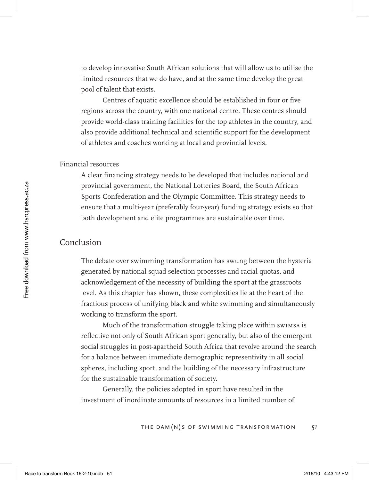to develop innovative South African solutions that will allow us to utilise the limited resources that we do have, and at the same time develop the great pool of talent that exists.

Centres of aquatic excellence should be established in four or five regions across the country, with one national centre. These centres should provide world-class training facilities for the top athletes in the country, and also provide additional technical and scientific support for the development of athletes and coaches working at local and provincial levels.

### Financial resources

A clear financing strategy needs to be developed that includes national and provincial government, the National Lotteries Board, the South African Sports Confederation and the Olympic Committee. This strategy needs to ensure that a multi-year (preferably four-year) funding strategy exists so that both development and elite programmes are sustainable over time.

### Conclusion

The debate over swimming transformation has swung between the hysteria generated by national squad selection processes and racial quotas, and acknowledgement of the necessity of building the sport at the grassroots level. As this chapter has shown, these complexities lie at the heart of the fractious process of unifying black and white swimming and simultaneously working to transform the sport.

Much of the transformation struggle taking place within swimsa is reflective not only of South African sport generally, but also of the emergent social struggles in post-apartheid South Africa that revolve around the search for a balance between immediate demographic representivity in all social spheres, including sport, and the building of the necessary infrastructure for the sustainable transformation of society.

Generally, the policies adopted in sport have resulted in the investment of inordinate amounts of resources in a limited number of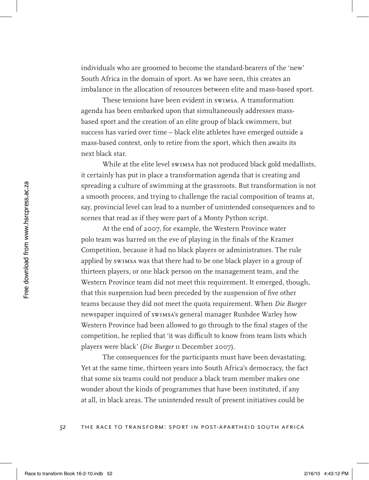individuals who are groomed to become the standard-bearers of the 'new' South Africa in the domain of sport. As we have seen, this creates an imbalance in the allocation of resources between elite and mass-based sport.

These tensions have been evident in swimsa. A transformation agenda has been embarked upon that simultaneously addresses massbased sport and the creation of an elite group of black swimmers, but success has varied over time – black elite athletes have emerged outside a mass-based context, only to retire from the sport, which then awaits its next black star.

While at the elite level swimsa has not produced black gold medallists, it certainly has put in place a transformation agenda that is creating and spreading a culture of swimming at the grassroots. But transformation is not a smooth process, and trying to challenge the racial composition of teams at, say, provincial level can lead to a number of unintended consequences and to scenes that read as if they were part of a Monty Python script.

At the end of 2007, for example, the Western Province water polo team was barred on the eve of playing in the finals of the Kramer Competition, because it had no black players or administrators. The rule applied by SwimSA was that there had to be one black player in a group of thirteen players, or one black person on the management team, and the Western Province team did not meet this requirement. It emerged, though, that this suspension had been preceded by the suspension of five other teams because they did not meet the quota requirement. When *Die Burger* newspaper inquired of SwimSA's general manager Rushdee Warley how Western Province had been allowed to go through to the final stages of the competition, he replied that 'it was difficult to know from team lists which players were black' (*Die Burger* 11 December 2007).

The consequences for the participants must have been devastating. Yet at the same time, thirteen years into South Africa's democracy, the fact that some six teams could not produce a black team member makes one wonder about the kinds of programmes that have been instituted, if any at all, in black areas. The unintended result of present initiatives could be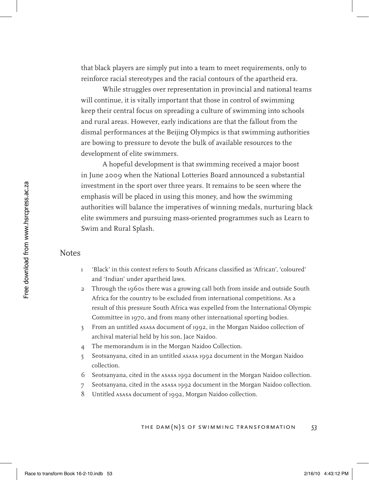that black players are simply put into a team to meet requirements, only to reinforce racial stereotypes and the racial contours of the apartheid era.

While struggles over representation in provincial and national teams will continue, it is vitally important that those in control of swimming keep their central focus on spreading a culture of swimming into schools and rural areas. However, early indications are that the fallout from the dismal performances at the Beijing Olympics is that swimming authorities are bowing to pressure to devote the bulk of available resources to the development of elite swimmers.

A hopeful development is that swimming received a major boost in June 2009 when the National Lotteries Board announced a substantial investment in the sport over three years. It remains to be seen where the emphasis will be placed in using this money, and how the swimming authorities will balance the imperatives of winning medals, nurturing black elite swimmers and pursuing mass-oriented programmes such as Learn to Swim and Rural Splash.

### Notes

- 1 'Black' in this context refers to South Africans classified as 'African', 'coloured' and 'Indian' under apartheid laws.
- 2 Through the 1960s there was a growing call both from inside and outside South Africa for the country to be excluded from international competitions. As a result of this pressure South Africa was expelled from the International Olympic Committee in 1970, and from many other international sporting bodies.
- 3 From an untitled ASASA document of 1992, in the Morgan Naidoo collection of archival material held by his son, Jace Naidoo.
- 4 The memorandum is in the Morgan Naidoo Collection.
- 5 Seotsanyana, cited in an untitled ASASA 1992 document in the Morgan Naidoo collection.
- 6 Seotsanyana, cited in the ASASA 1992 document in the Morgan Naidoo collection.
- 7 Seotsanyana, cited in the ASASA 1992 document in the Morgan Naidoo collection.
- 8 Untitled ASASA document of 1992, Morgan Naidoo collection.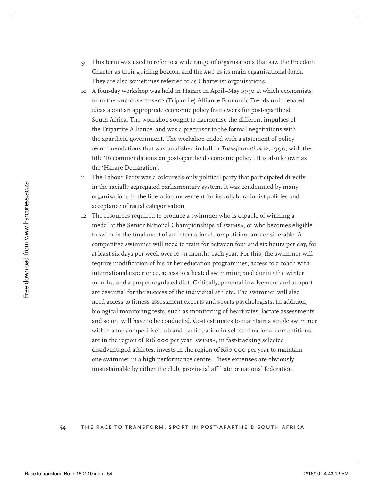- 9 This term was used to refer to a wide range of organisations that saw the Freedom Charter as their guiding beacon, and the ANC as its main organisational form. They are also sometimes referred to as Charterist organisations.
- 10 A four-day workshop was held in Harare in April–May 1990 at which economists from the ANC-COSATU-SACP (Tripartite) Alliance Economic Trends unit debated ideas about an appropriate economic policy framework for post-apartheid South Africa. The workshop sought to harmonise the different impulses of the Tripartite Alliance, and was a precursor to the formal negotiations with the apartheid government. The workshop ended with a statement of policy recommendations that was published in full in *Transformation* 12, 1990, with the title 'Recommendations on post-apartheid economic policy'. It is also known as the 'Harare Declaration'.
- 11 The Labour Party was a coloureds-only political party that participated directly in the racially segregated parliamentary system. It was condemned by many organisations in the liberation movement for its collaborationist policies and acceptance of racial categorisation.
- 12 The resources required to produce a swimmer who is capable of winning a medal at the Senior National Championships of SwimSA, or who becomes eligible to swim in the final meet of an international competition, are considerable. A competitive swimmer will need to train for between four and six hours per day, for at least six days per week over 10–11 months each year. For this, the swimmer will require modification of his or her education programmes, access to a coach with international experience, access to a heated swimming pool during the winter months, and a proper regulated diet. Critically, parental involvement and support are essential for the success of the individual athlete. The swimmer will also need access to fitness assessment experts and sports psychologists. In addition, biological monitoring tests, such as monitoring of heart rates, lactate assessments and so on, will have to be conducted. Cost estimates to maintain a single swimmer within a top competitive club and participation in selected national competitions are in the region of R16 000 per year. SwimSA, in fast-tracking selected disadvantaged athletes, invests in the region of R80 000 per year to maintain one swimmer in a high performance centre. These expenses are obviously unsustainable by either the club, provincial affiliate or national federation.